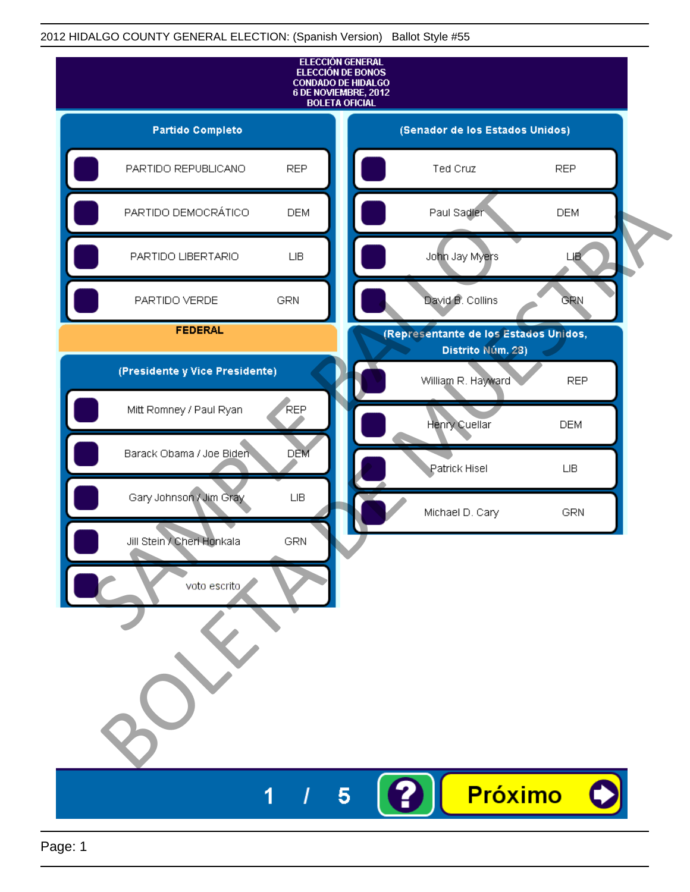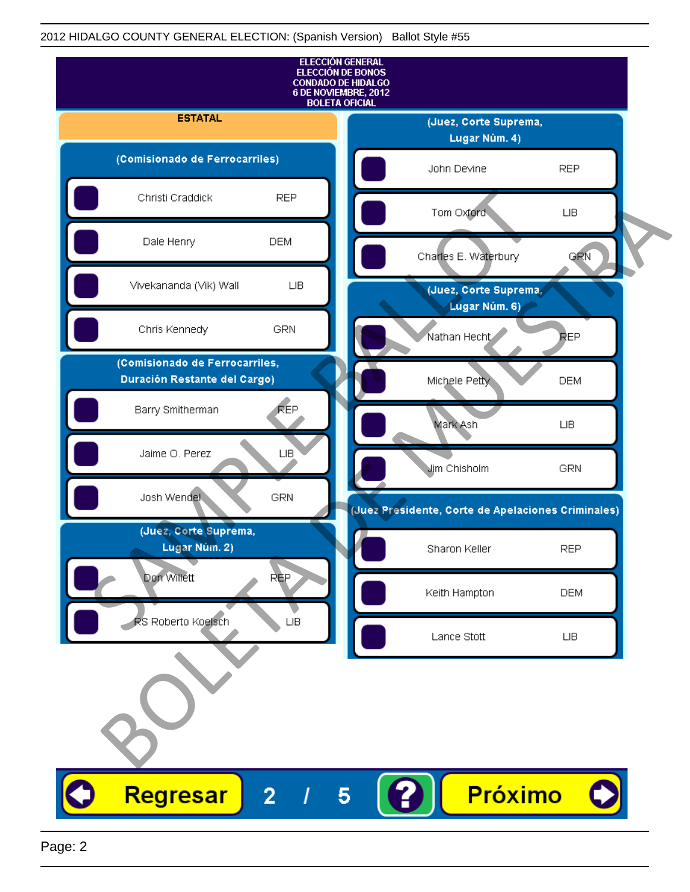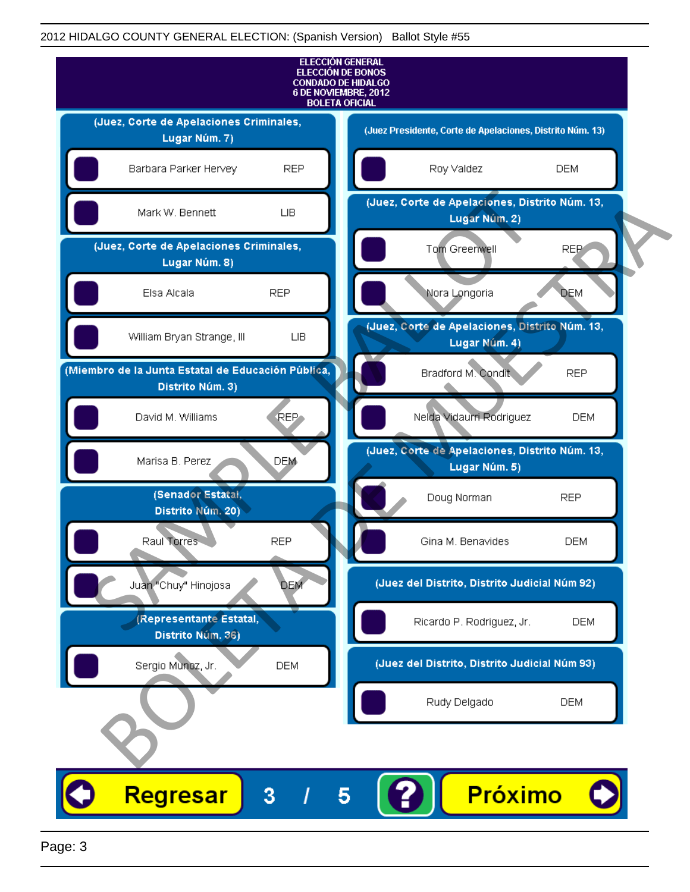

Page: 3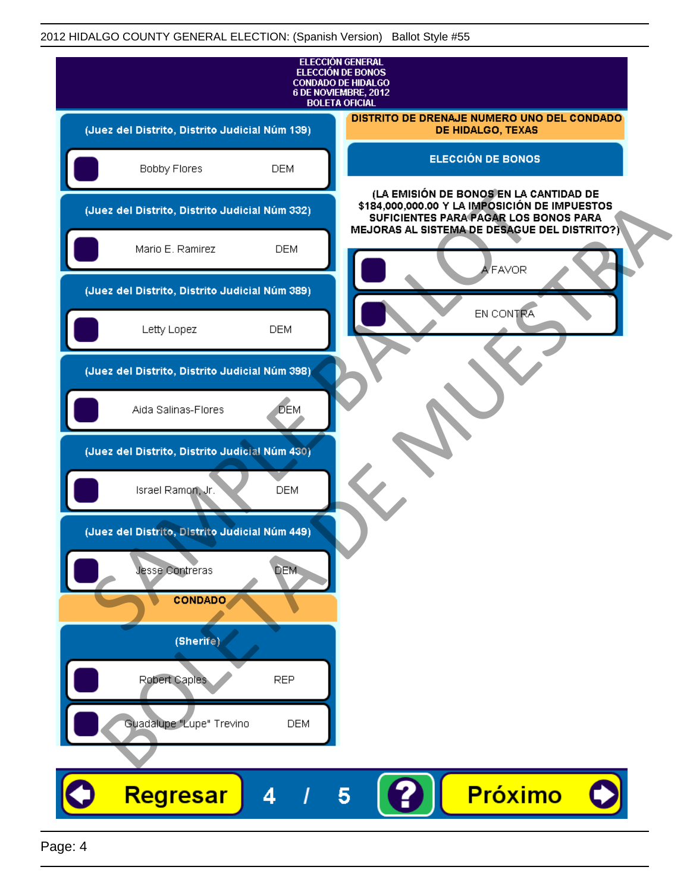

Page: 4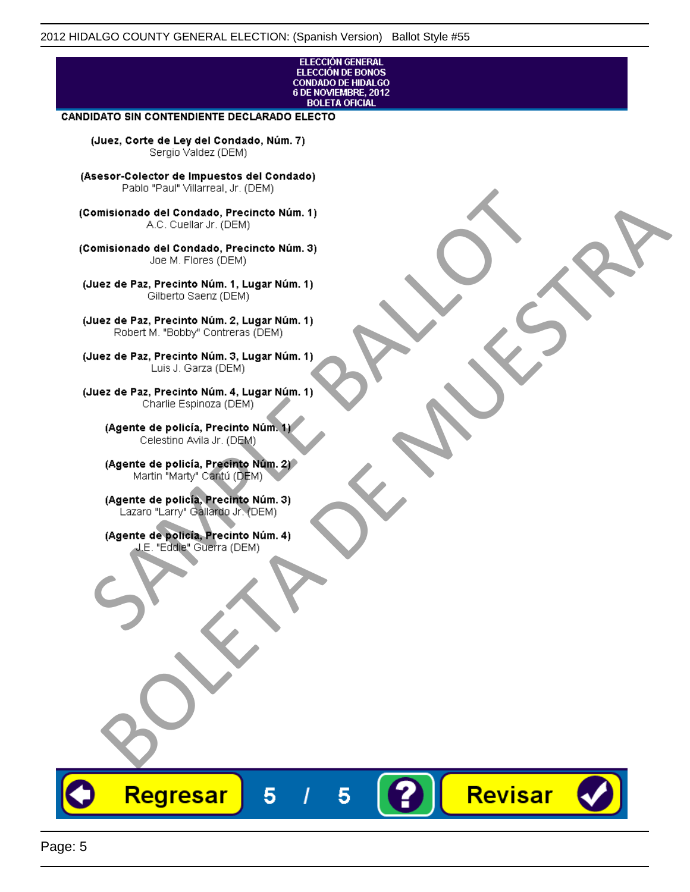## ELECCIÓN GENERAL ELECCIÓN DE BONOS<br>CONDADO DE HIDALGO<br>6 DE NOVIEMBRE, 2012 **BOLETA OFICIAL**

Revisar

## **CANDIDATO SIN CONTENDIENTE DECLARADO ELECTO**

(Juez, Corte de Ley del Condado, Núm. 7) Sergio Valdez (DEM)

(Asesor-Colector de Impuestos del Condado)

Fallo Fall Willdrea, J.I. (DEM)<br>
Consistionado el Condado, Precincto Núm. 1)<br>
A.C. Cuellar Jr. (DEM)<br>
Ullez de Paz, Precinto Núm. 1)<br>
Juez de Paz, Precinto Núm. 1, Lugar Núm. 1)<br>
Gilberto Sentr (DEM)<br>
Robert M. "Bobby" Con misionado del Condiado, Precincto Núm. 1)<br>
Andro del Condiado, Precincto Núm. 3)<br>
ez de Paz, Precinto Núm. 21<br>
algo M. Picer Lo Saerz, Cichi (DEM)<br>
algo M. Picer Lo Saerz, Cichi (DEM)<br>
algo M. Picer Lo Saerz, Cichi (DEM)<br>

Regresar

5

5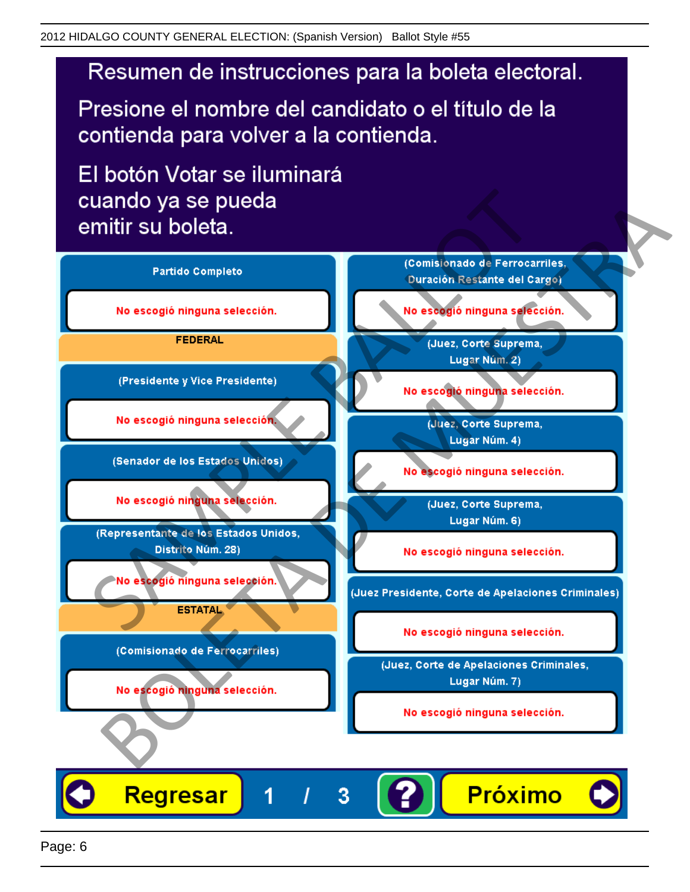# Resumen de instrucciones para la boleta electoral.

Presione el nombre del candidato o el título de la contienda para volver a la contienda.

El botón Votar se iluminará

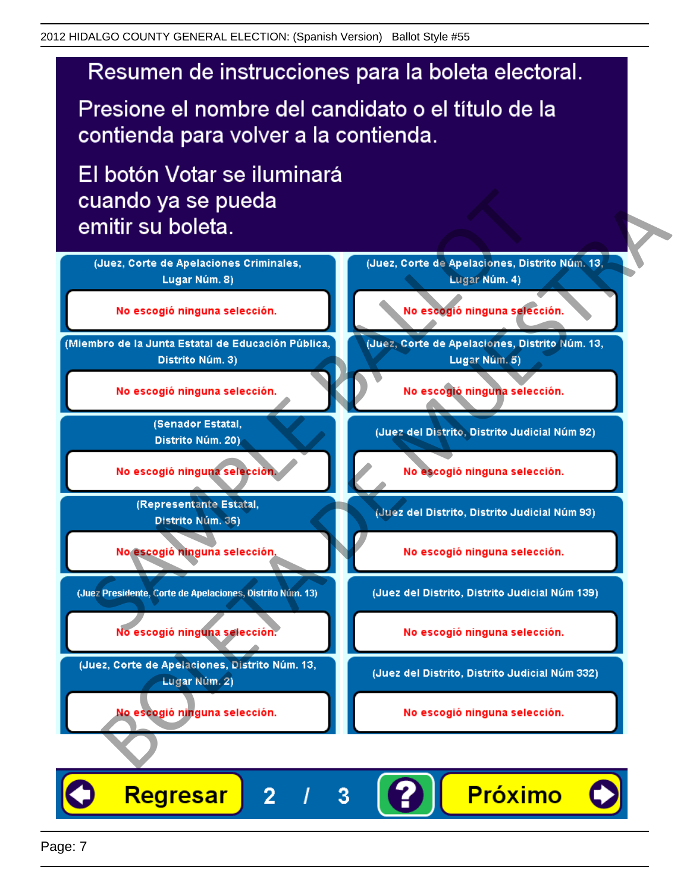# Resumen de instrucciones para la boleta electoral.

Presione el nombre del candidato o el título de la contienda para volver a la contienda.

El botón Votar se iluminará